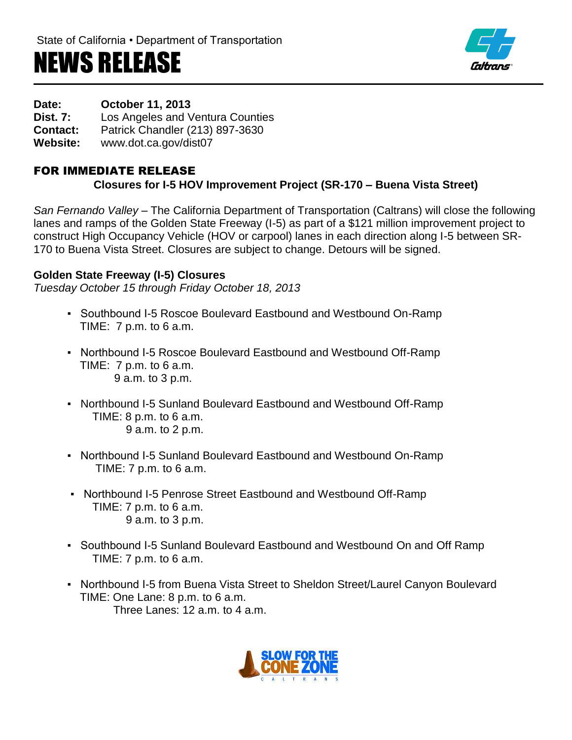# NEWS RELEASE



**Date: October 11, 2013**

**Dist. 7:** Los Angeles and Ventura Counties

**Contact:** Patrick Chandler (213) 897-3630

**Website:** www.dot.ca.gov/dist07

## FOR IMMEDIATE RELEASE

## **Closures for I-5 HOV Improvement Project (SR-170 – Buena Vista Street)**

*San Fernando Valley –* The California Department of Transportation (Caltrans) will close the following lanes and ramps of the Golden State Freeway (I-5) as part of a \$121 million improvement project to construct High Occupancy Vehicle (HOV or carpool) lanes in each direction along I-5 between SR-170 to Buena Vista Street. Closures are subject to change. Detours will be signed.

#### **Golden State Freeway (I-5) Closures**

*Tuesday October 15 through Friday October 18, 2013*

- Southbound I-5 Roscoe Boulevard Eastbound and Westbound On-Ramp TIME:  $7 \text{ p.m.}$  to 6 a.m.
- Northbound I-5 Roscoe Boulevard Eastbound and Westbound Off-Ramp TIME: 7 p.m. to 6 a.m. 9 a.m. to 3 p.m.
- Northbound I-5 Sunland Boulevard Eastbound and Westbound Off-Ramp TIME: 8 p.m. to 6 a.m. 9 a.m. to 2 p.m.
- Northbound I-5 Sunland Boulevard Eastbound and Westbound On-Ramp TIME: 7 p.m. to 6 a.m.
- Northbound I-5 Penrose Street Eastbound and Westbound Off-Ramp TIME: 7 p.m. to 6 a.m. 9 a.m. to 3 p.m.
- Southbound I-5 Sunland Boulevard Eastbound and Westbound On and Off Ramp TIME: 7 p.m. to 6 a.m.
- Northbound I-5 from Buena Vista Street to Sheldon Street/Laurel Canyon Boulevard TIME: One Lane: 8 p.m. to 6 a.m. Three Lanes:  $12$  a.m. to  $4 \text{ a m}$ .

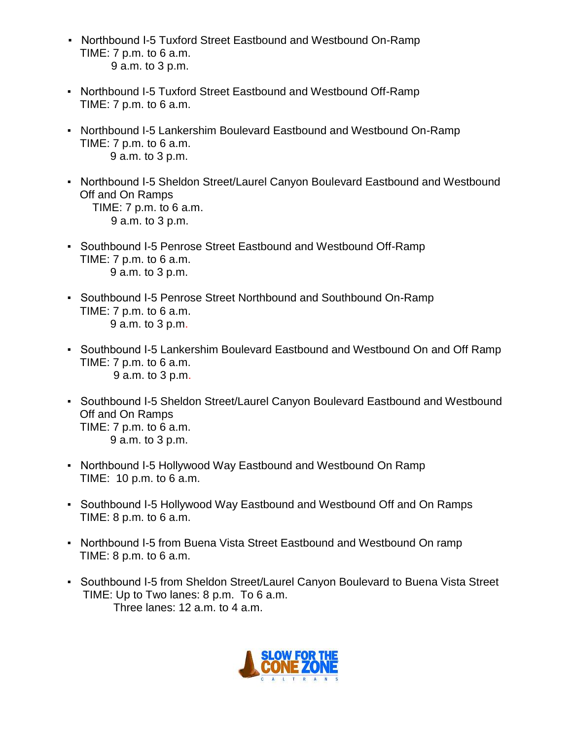- Northbound I-5 Tuxford Street Eastbound and Westbound On-Ramp TIME: 7 p.m. to 6 a.m. 9 a.m. to 3 p.m.
- Northbound I-5 Tuxford Street Eastbound and Westbound Off-Ramp TIME: 7 p.m. to 6 a.m.
- Northbound I-5 Lankershim Boulevard Eastbound and Westbound On-Ramp TIME: 7 p.m. to 6 a.m. 9 a.m. to 3 p.m.
- Northbound I-5 Sheldon Street/Laurel Canyon Boulevard Eastbound and Westbound Off and On Ramps TIME: 7 p.m. to 6 a.m. 9 a.m. to 3 p.m.
- Southbound I-5 Penrose Street Eastbound and Westbound Off-Ramp TIME: 7 p.m. to 6 a.m. 9 a.m. to 3 p.m.
- Southbound I-5 Penrose Street Northbound and Southbound On-Ramp TIME: 7 p.m. to 6 a.m. 9 a.m. to 3 p.m.
- Southbound I-5 Lankershim Boulevard Eastbound and Westbound On and Off Ramp TIME: 7 p.m. to 6 a.m. 9 a.m. to 3 p.m.
- Southbound I-5 Sheldon Street/Laurel Canyon Boulevard Eastbound and Westbound Off and On Ramps TIME: 7 p.m. to 6 a.m. 9 a.m. to 3 p.m.
- Northbound I-5 Hollywood Way Eastbound and Westbound On Ramp TIME: 10 p.m. to 6 a.m.
- Southbound I-5 Hollywood Way Eastbound and Westbound Off and On Ramps TIME: 8 p.m. to 6 a.m.
- Northbound I-5 from Buena Vista Street Eastbound and Westbound On ramp TIME: 8 p.m. to 6 a.m.
- Southbound I-5 from Sheldon Street/Laurel Canyon Boulevard to Buena Vista Street TIME: Up to Two lanes: 8 p.m. To 6 a.m. Three lanes: 12 a.m. to 4 a.m.